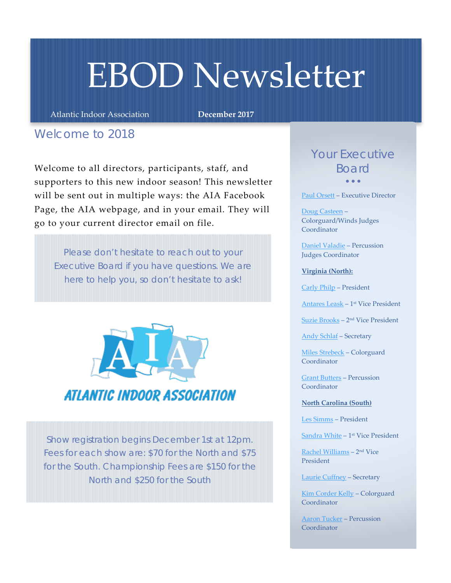## EBOD Newsletter

Atlantic Indoor Association **December 2017**

## *Welcome to 2018*

Welcome to all directors, participants, staff, and supporters to this new indoor season! This newsletter will be sent out in multiple ways: the AIA Facebook Page, the AIA webpage, and in your email. They will go to your current director email on file.

*Please don't hesitate to reach out to your Executive Board if you have questions. We are here to help you, so don't hesitate to ask!*



*Show registration begins December 1st at 12pm. Fees for each show are: \$70 for the North and \$75 for the South. Championship Fees are \$150 for the North and \$250 for the South*

## *Your Executive Board* • • •

[Paul Orsett](mailto:paul.orsett@atlanticindoor.org) – Executive Director

[Doug Casteen](mailto:doug.casteen@atlanticindoor.org) – Colorguard/Winds Judges Coordinator

[Daniel Valadie](mailto:daniel.valadie@atlanticindoor.org) – Percussion Judges Coordinator

**Virginia (North):**

[Carly Philp](mailto:carly.philp@atlanticindoor.org) – President

[Antares Leask](mailto:antares.leask@atlanticindoor.org) – 1st Vice President

[Suzie Brooks](mailto:suzie.brooks@atlanticindoor.org) – 2nd Vice President

[Andy Schlaf](mailto:andrew.schlaf@atlanticindoor.org) – Secretary

[Miles Strebeck](mailto:miles.strebeck@atlanticindoor.org) – Colorguard Coordinator

[Grant Butters](mailto:grant.butters@atlanticindoor.org) – Percussion **Coordinator** 

**North Carolina (South)**

[Les Simms](mailto:les.simms@atlanticindoor.org) – President

[Sandra White](mailto:sandra.white@atlanticindoor.org) – 1st Vice President

[Rachel Williams](mailto:rachel.williams@atlanticindoor.org) – 2nd Vice President

[Laurie Cuffney](mailto:laurie.cuffney@atlanticindoor.org) – Secretary

[Kim Corder Kelly](mailto:kim.corder.kelly@atlanticindoor.org) – Colorguard **Coordinator** 

[Aaron Tucker](mailto:aaron.tucker@atlanticindoor.org) – Percussion **Coordinator**